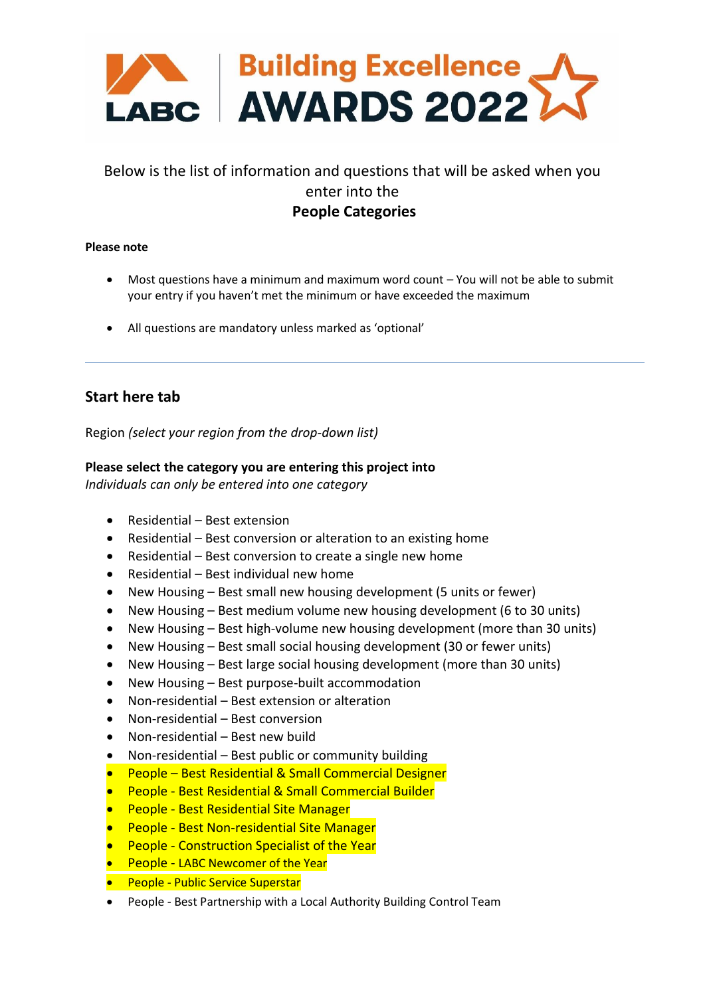

# Below is the list of information and questions that will be asked when you enter into the **People Categories**

#### **Please note**

- Most questions have a minimum and maximum word count You will not be able to submit your entry if you haven't met the minimum or have exceeded the maximum
- All questions are mandatory unless marked as 'optional'

# **Start here tab**

Region *(select your region from the drop-down list)*

#### **Please select the category you are entering this project into**

*Individuals can only be entered into one category*

- Residential Best extension
- Residential Best conversion or alteration to an existing home
- Residential Best conversion to create a single new home
- Residential Best individual new home
- New Housing Best small new housing development (5 units or fewer)
- New Housing Best medium volume new housing development (6 to 30 units)
- New Housing Best high-volume new housing development (more than 30 units)
- New Housing Best small social housing development (30 or fewer units)
- New Housing Best large social housing development (more than 30 units)
- New Housing Best purpose-built accommodation
- Non-residential Best extension or alteration
- Non-residential Best conversion
- Non-residential Best new build
- Non-residential Best public or community building
- People Best Residential & Small Commercial Designer
- People Best Residential & Small Commercial Builder
- People Best Residential Site Manager
- People Best Non-residential Site Manager
- People Construction Specialist of the Year
- People LABC Newcomer of the Year
- People Public Service Superstar
- People Best Partnership with a Local Authority Building Control Team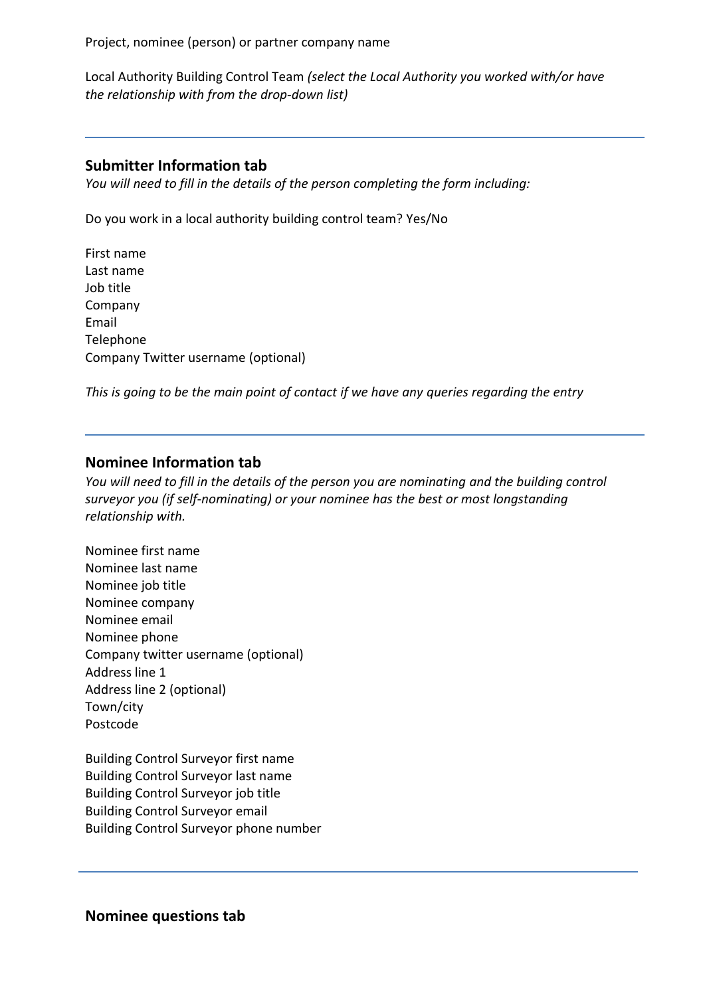Project, nominee (person) or partner company name

Local Authority Building Control Team *(select the Local Authority you worked with/or have the relationship with from the drop-down list)*

## **Submitter Information tab**

*You will need to fill in the details of the person completing the form including:*

Do you work in a local authority building control team? Yes/No

First name Last name Job title Company Email Telephone Company Twitter username (optional)

*This is going to be the main point of contact if we have any queries regarding the entry*

## **Nominee Information tab**

*You will need to fill in the details of the person you are nominating and the building control surveyor you (if self-nominating) or your nominee has the best or most longstanding relationship with.*

Nominee first name Nominee last name Nominee job title Nominee company Nominee email Nominee phone Company twitter username (optional) Address line 1 Address line 2 (optional) Town/city Postcode

Building Control Surveyor first name Building Control Surveyor last name Building Control Surveyor job title Building Control Surveyor email Building Control Surveyor phone number